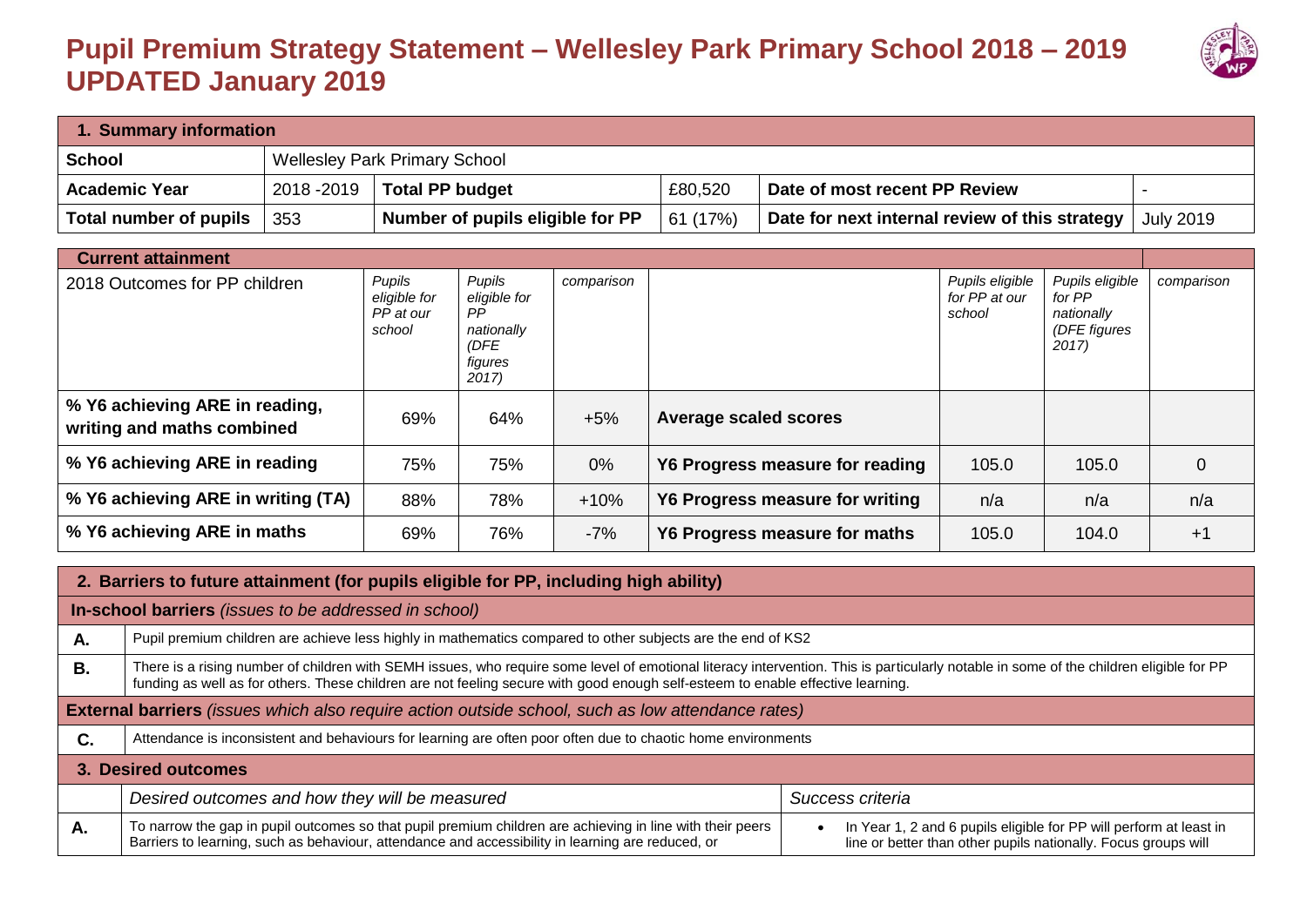## **Pupil Premium Strategy Statement – Wellesley Park Primary School 2018 – 2019 UPDATED January 2019**



| 1. Summary information |             |                                      |          |                                                |                  |  |  |
|------------------------|-------------|--------------------------------------|----------|------------------------------------------------|------------------|--|--|
| <b>School</b>          |             | <b>Wellesley Park Primary School</b> |          |                                                |                  |  |  |
| <b>Academic Year</b>   | 2018 - 2019 | <b>Total PP budget</b>               | £80,520  | Date of most recent PP Review                  |                  |  |  |
| Total number of pupils | 353         | Number of pupils eligible for PP     | 61 (17%) | Date for next internal review of this strategy | <b>July 2019</b> |  |  |

| <b>Current attainment</b>                                    |                                               |                                                                         |            |                                        |                                            |                                                                  |                |
|--------------------------------------------------------------|-----------------------------------------------|-------------------------------------------------------------------------|------------|----------------------------------------|--------------------------------------------|------------------------------------------------------------------|----------------|
| 2018 Outcomes for PP children                                | Pupils<br>eligible for<br>PP at our<br>school | Pupils<br>eligible for<br>PP.<br>nationally<br>(DFE<br>figures<br>2017) | comparison |                                        | Pupils eligible<br>for PP at our<br>school | Pupils eligible<br>for PP<br>nationally<br>(DFE figures<br>2017) | comparison     |
| % Y6 achieving ARE in reading,<br>writing and maths combined | 69%                                           | 64%                                                                     | $+5%$      | <b>Average scaled scores</b>           |                                            |                                                                  |                |
| % Y6 achieving ARE in reading                                | 75%                                           | 75%                                                                     | $0\%$      | Y6 Progress measure for reading        | 105.0                                      | 105.0                                                            | $\overline{0}$ |
| % Y6 achieving ARE in writing (TA)                           | 88%                                           | 78%                                                                     | $+10%$     | <b>Y6 Progress measure for writing</b> | n/a                                        | n/a                                                              | n/a            |
| % Y6 achieving ARE in maths                                  | 69%                                           | 76%                                                                     | $-7%$      | Y6 Progress measure for maths          | 105.0                                      | 104.0                                                            | $+1$           |

|    | 2. Barriers to future attainment (for pupils eligible for PP, including high ability)                                                                                                                                                                                                                                     |                                                                                                                                      |  |  |  |  |  |
|----|---------------------------------------------------------------------------------------------------------------------------------------------------------------------------------------------------------------------------------------------------------------------------------------------------------------------------|--------------------------------------------------------------------------------------------------------------------------------------|--|--|--|--|--|
|    | In-school barriers (issues to be addressed in school)                                                                                                                                                                                                                                                                     |                                                                                                                                      |  |  |  |  |  |
| Α. | Pupil premium children are achieve less highly in mathematics compared to other subjects are the end of KS2                                                                                                                                                                                                               |                                                                                                                                      |  |  |  |  |  |
| В. | There is a rising number of children with SEMH issues, who require some level of emotional literacy intervention. This is particularly notable in some of the children eligible for PP<br>funding as well as for others. These children are not feeling secure with good enough self-esteem to enable effective learning. |                                                                                                                                      |  |  |  |  |  |
|    | External barriers (issues which also require action outside school, such as low attendance rates)                                                                                                                                                                                                                         |                                                                                                                                      |  |  |  |  |  |
| C. | Attendance is inconsistent and behaviours for learning are often poor often due to chaotic home environments                                                                                                                                                                                                              |                                                                                                                                      |  |  |  |  |  |
|    | 3. Desired outcomes                                                                                                                                                                                                                                                                                                       |                                                                                                                                      |  |  |  |  |  |
|    | Desired outcomes and how they will be measured                                                                                                                                                                                                                                                                            | Success criteria                                                                                                                     |  |  |  |  |  |
| Α. | To narrow the gap in pupil outcomes so that pupil premium children are achieving in line with their peers<br>Barriers to learning, such as behaviour, attendance and accessibility in learning are reduced, or                                                                                                            | In Year 1, 2 and 6 pupils eligible for PP will perform at least in<br>line or better than other pupils nationally. Focus groups will |  |  |  |  |  |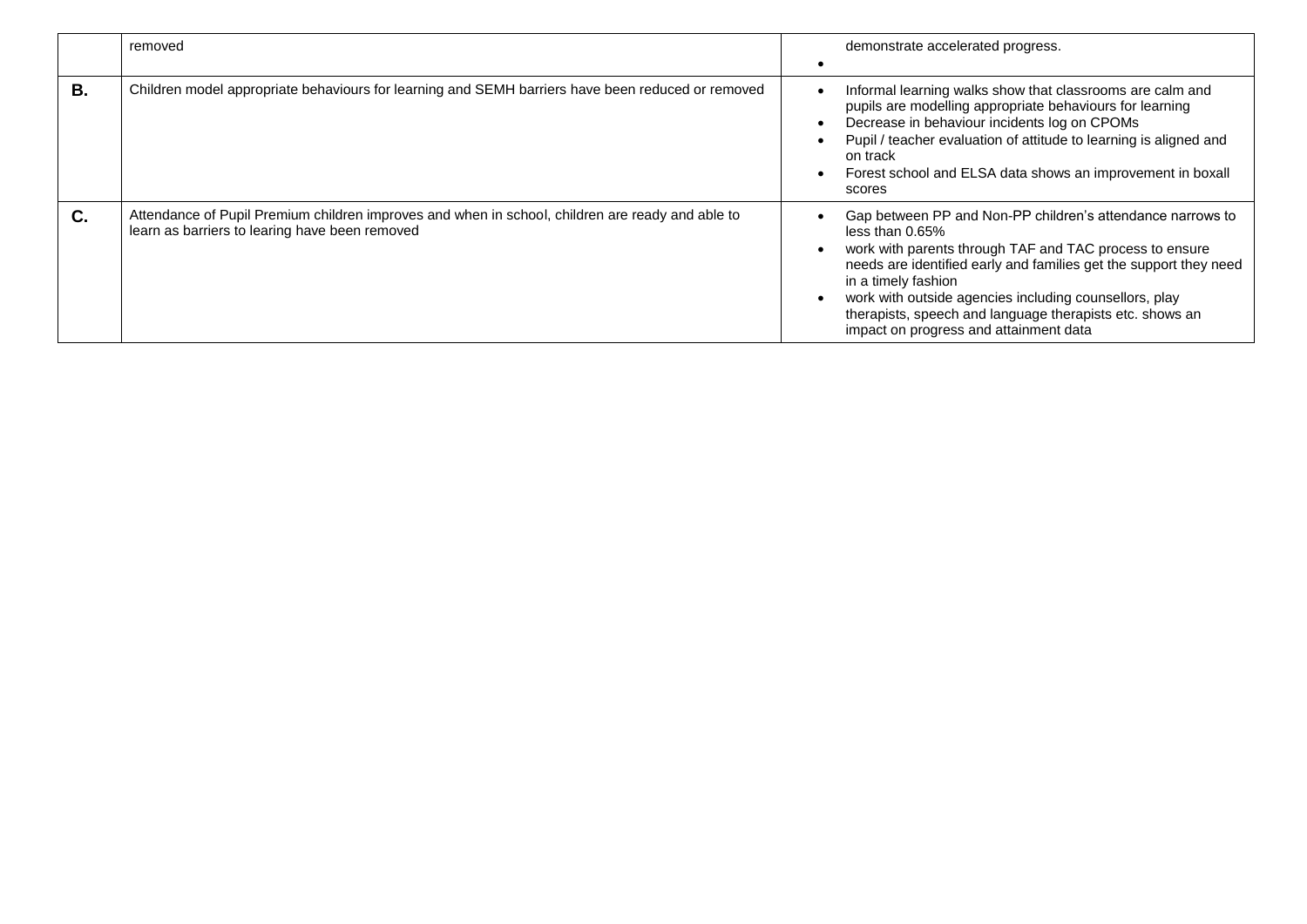|           | removed                                                                                                                                            |                | demonstrate accelerated progress.                                                                                                                                                                                                                                                                                                                                                                       |
|-----------|----------------------------------------------------------------------------------------------------------------------------------------------------|----------------|---------------------------------------------------------------------------------------------------------------------------------------------------------------------------------------------------------------------------------------------------------------------------------------------------------------------------------------------------------------------------------------------------------|
| <b>B.</b> | Children model appropriate behaviours for learning and SEMH barriers have been reduced or removed                                                  | $\bullet$<br>٠ | Informal learning walks show that classrooms are calm and<br>pupils are modelling appropriate behaviours for learning<br>Decrease in behaviour incidents log on CPOMs<br>Pupil / teacher evaluation of attitude to learning is aligned and<br>on track<br>Forest school and ELSA data shows an improvement in boxall<br>scores                                                                          |
| C.        | Attendance of Pupil Premium children improves and when in school, children are ready and able to<br>learn as barriers to learing have been removed |                | Gap between PP and Non-PP children's attendance narrows to<br>less than $0.65\%$<br>work with parents through TAF and TAC process to ensure<br>needs are identified early and families get the support they need<br>in a timely fashion<br>work with outside agencies including counsellors, play<br>therapists, speech and language therapists etc. shows an<br>impact on progress and attainment data |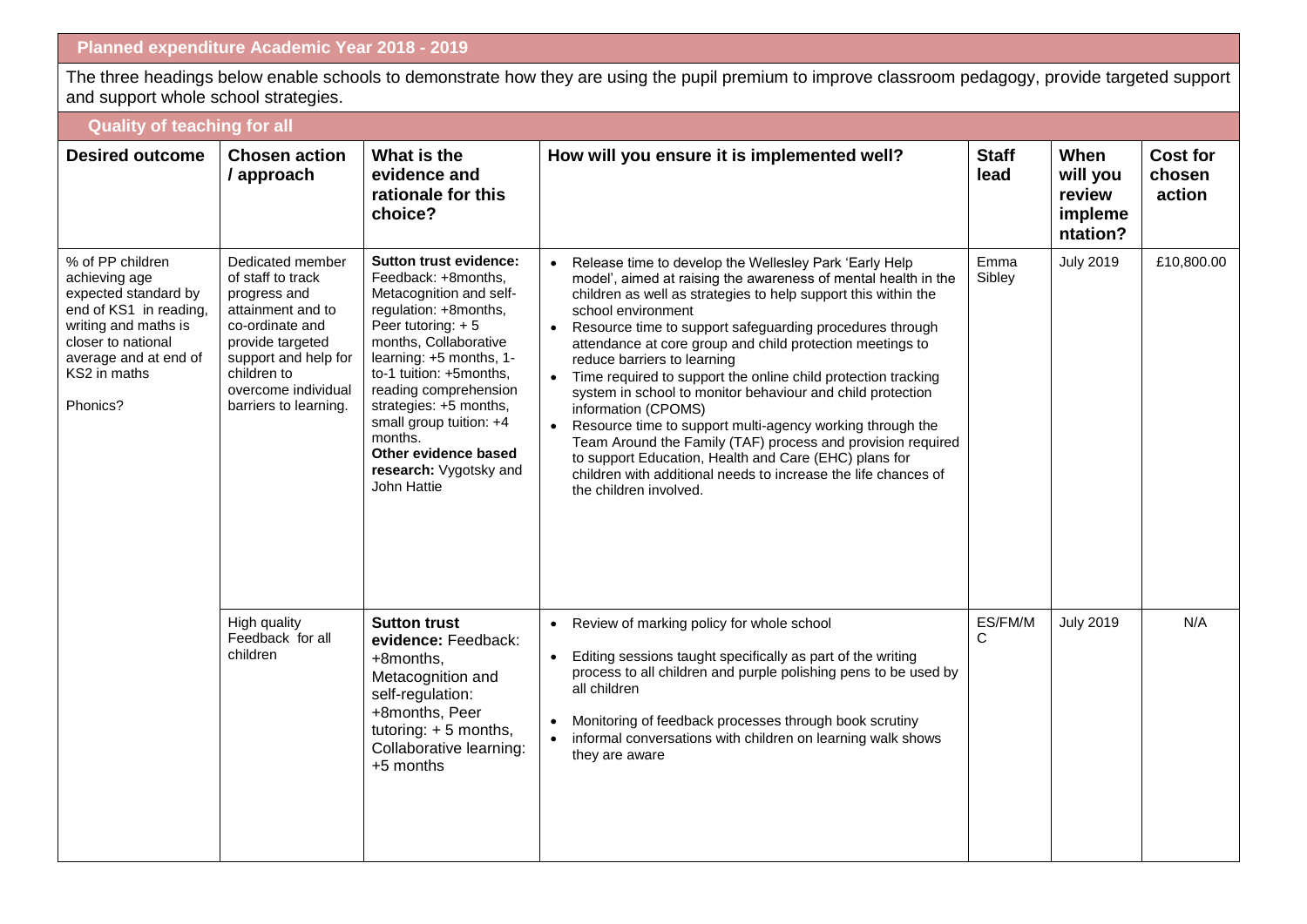The three headings below enable schools to demonstrate how they are using the pupil premium to improve classroom pedagogy, provide targeted support and support whole school strategies.

| <b>Quality of teaching for all</b>                                                                                                                                                     |                                                                                                                                                                                                          |                                                                                                                                                                                                                                                                                                                                                                        |                                                                                                                                                                                                                                                                                                                                                                                                                                                                                                                                                                                                                                                                                                                                                                                                                                                        |                      |                                                   |                                     |  |
|----------------------------------------------------------------------------------------------------------------------------------------------------------------------------------------|----------------------------------------------------------------------------------------------------------------------------------------------------------------------------------------------------------|------------------------------------------------------------------------------------------------------------------------------------------------------------------------------------------------------------------------------------------------------------------------------------------------------------------------------------------------------------------------|--------------------------------------------------------------------------------------------------------------------------------------------------------------------------------------------------------------------------------------------------------------------------------------------------------------------------------------------------------------------------------------------------------------------------------------------------------------------------------------------------------------------------------------------------------------------------------------------------------------------------------------------------------------------------------------------------------------------------------------------------------------------------------------------------------------------------------------------------------|----------------------|---------------------------------------------------|-------------------------------------|--|
| <b>Desired outcome</b>                                                                                                                                                                 | <b>Chosen action</b><br>/ approach                                                                                                                                                                       | What is the<br>evidence and<br>rationale for this<br>choice?                                                                                                                                                                                                                                                                                                           | How will you ensure it is implemented well?                                                                                                                                                                                                                                                                                                                                                                                                                                                                                                                                                                                                                                                                                                                                                                                                            | <b>Staff</b><br>lead | When<br>will you<br>review<br>impleme<br>ntation? | <b>Cost for</b><br>chosen<br>action |  |
| % of PP children<br>achieving age<br>expected standard by<br>end of KS1 in reading,<br>writing and maths is<br>closer to national<br>average and at end of<br>KS2 in maths<br>Phonics? | Dedicated member<br>of staff to track<br>progress and<br>attainment and to<br>co-ordinate and<br>provide targeted<br>support and help for<br>children to<br>overcome individual<br>barriers to learning. | <b>Sutton trust evidence:</b><br>Feedback: +8months.<br>Metacognition and self-<br>regulation: +8months,<br>Peer tutoring: +5<br>months, Collaborative<br>learning: +5 months, 1-<br>to-1 tuition: +5months,<br>reading comprehension<br>strategies: +5 months,<br>small group tuition: +4<br>months.<br>Other evidence based<br>research: Vygotsky and<br>John Hattie | Release time to develop the Wellesley Park 'Early Help<br>model', aimed at raising the awareness of mental health in the<br>children as well as strategies to help support this within the<br>school environment<br>Resource time to support safeguarding procedures through<br>$\bullet$<br>attendance at core group and child protection meetings to<br>reduce barriers to learning<br>Time required to support the online child protection tracking<br>$\bullet$<br>system in school to monitor behaviour and child protection<br>information (CPOMS)<br>Resource time to support multi-agency working through the<br>$\bullet$<br>Team Around the Family (TAF) process and provision required<br>to support Education, Health and Care (EHC) plans for<br>children with additional needs to increase the life chances of<br>the children involved. | Emma<br>Sibley       | <b>July 2019</b>                                  | £10,800.00                          |  |
|                                                                                                                                                                                        | High quality<br>Feedback for all<br>children                                                                                                                                                             | <b>Sutton trust</b><br>evidence: Feedback:<br>+8months,<br>Metacognition and<br>self-regulation:<br>+8months, Peer<br>tutoring: + 5 months,<br>Collaborative learning:<br>+5 months                                                                                                                                                                                    | Review of marking policy for whole school<br>$\bullet$<br>Editing sessions taught specifically as part of the writing<br>process to all children and purple polishing pens to be used by<br>all children<br>Monitoring of feedback processes through book scrutiny<br>informal conversations with children on learning walk shows<br>$\bullet$<br>they are aware                                                                                                                                                                                                                                                                                                                                                                                                                                                                                       | ES/FM/M<br>C         | <b>July 2019</b>                                  | N/A                                 |  |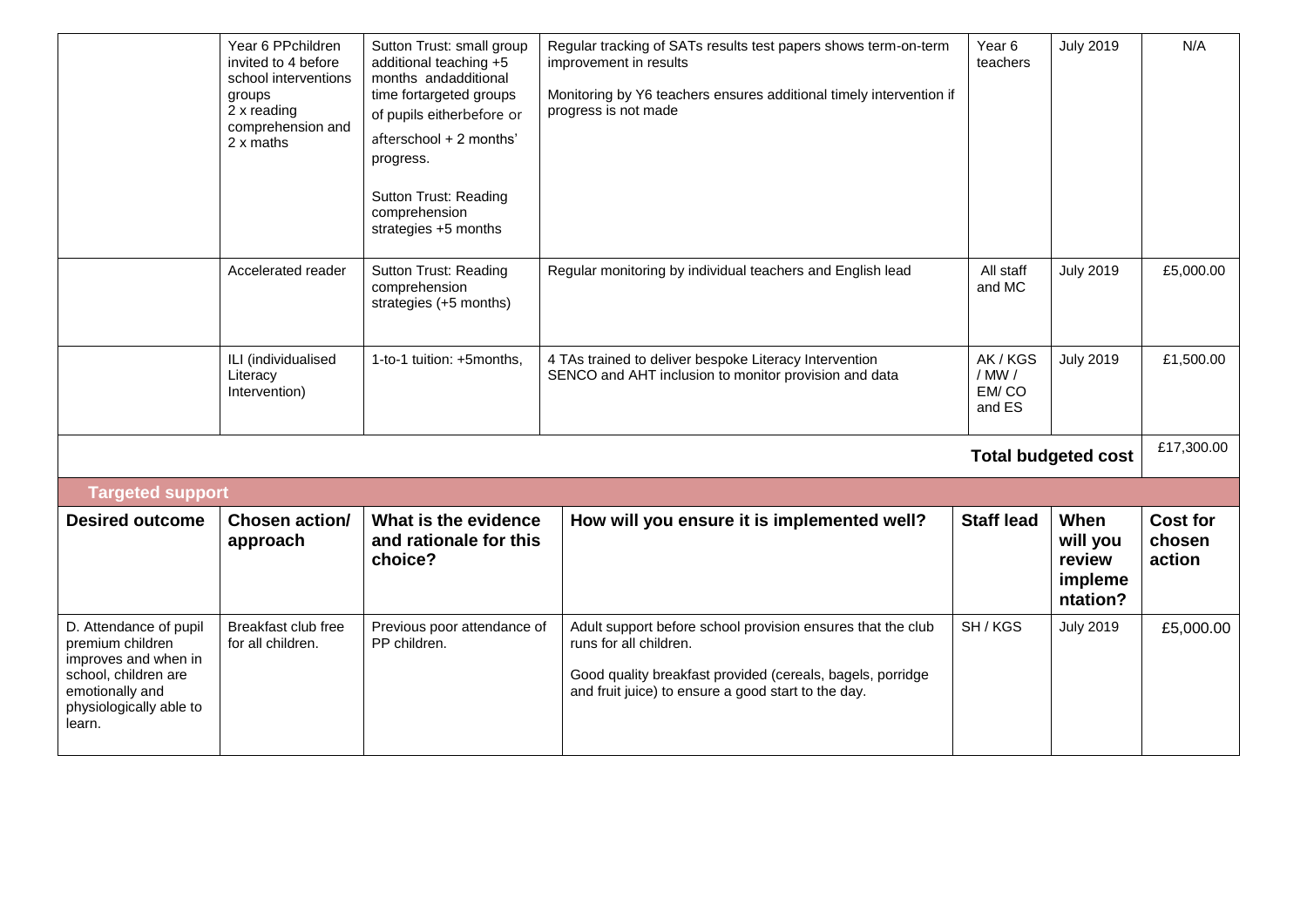|                                                                                                                                                    | Year 6 PPchildren<br>invited to 4 before<br>school interventions<br>groups<br>2 x reading<br>comprehension and<br>2 x maths | Sutton Trust: small group<br>additional teaching +5<br>months andadditional<br>time fortargeted groups<br>of pupils eitherbefore or<br>afterschool + 2 months'<br>progress.<br><b>Sutton Trust: Reading</b><br>comprehension<br>strategies +5 months | Regular tracking of SATs results test papers shows term-on-term<br>improvement in results<br>Monitoring by Y6 teachers ensures additional timely intervention if<br>progress is not made                   | Year 6<br>teachers  | <b>July 2019</b>                                  | N/A                                 |
|----------------------------------------------------------------------------------------------------------------------------------------------------|-----------------------------------------------------------------------------------------------------------------------------|------------------------------------------------------------------------------------------------------------------------------------------------------------------------------------------------------------------------------------------------------|------------------------------------------------------------------------------------------------------------------------------------------------------------------------------------------------------------|---------------------|---------------------------------------------------|-------------------------------------|
|                                                                                                                                                    | Accelerated reader                                                                                                          | <b>Sutton Trust: Reading</b><br>comprehension<br>strategies (+5 months)                                                                                                                                                                              | Regular monitoring by individual teachers and English lead                                                                                                                                                 | All staff<br>and MC | <b>July 2019</b>                                  | £5,000.00                           |
|                                                                                                                                                    | ILI (individualised<br>Literacy<br>Intervention)                                                                            | 1-to-1 tuition: +5months,                                                                                                                                                                                                                            | 4 TAs trained to deliver bespoke Literacy Intervention<br>SENCO and AHT inclusion to monitor provision and data                                                                                            |                     | <b>July 2019</b>                                  | £1,500.00                           |
|                                                                                                                                                    |                                                                                                                             |                                                                                                                                                                                                                                                      |                                                                                                                                                                                                            |                     | <b>Total budgeted cost</b>                        | £17,300.00                          |
| <b>Targeted support</b>                                                                                                                            |                                                                                                                             |                                                                                                                                                                                                                                                      |                                                                                                                                                                                                            |                     |                                                   |                                     |
| <b>Desired outcome</b>                                                                                                                             | Chosen action/<br>approach                                                                                                  | What is the evidence<br>and rationale for this<br>choice?                                                                                                                                                                                            | How will you ensure it is implemented well?                                                                                                                                                                | <b>Staff lead</b>   | When<br>will you<br>review<br>impleme<br>ntation? | <b>Cost for</b><br>chosen<br>action |
| D. Attendance of pupil<br>premium children<br>improves and when in<br>school, children are<br>emotionally and<br>physiologically able to<br>learn. | Breakfast club free<br>for all children.                                                                                    | Previous poor attendance of<br>PP children.                                                                                                                                                                                                          | Adult support before school provision ensures that the club<br>runs for all children.<br>Good quality breakfast provided (cereals, bagels, porridge<br>and fruit juice) to ensure a good start to the day. | SH/KGS              | <b>July 2019</b>                                  | £5,000.00                           |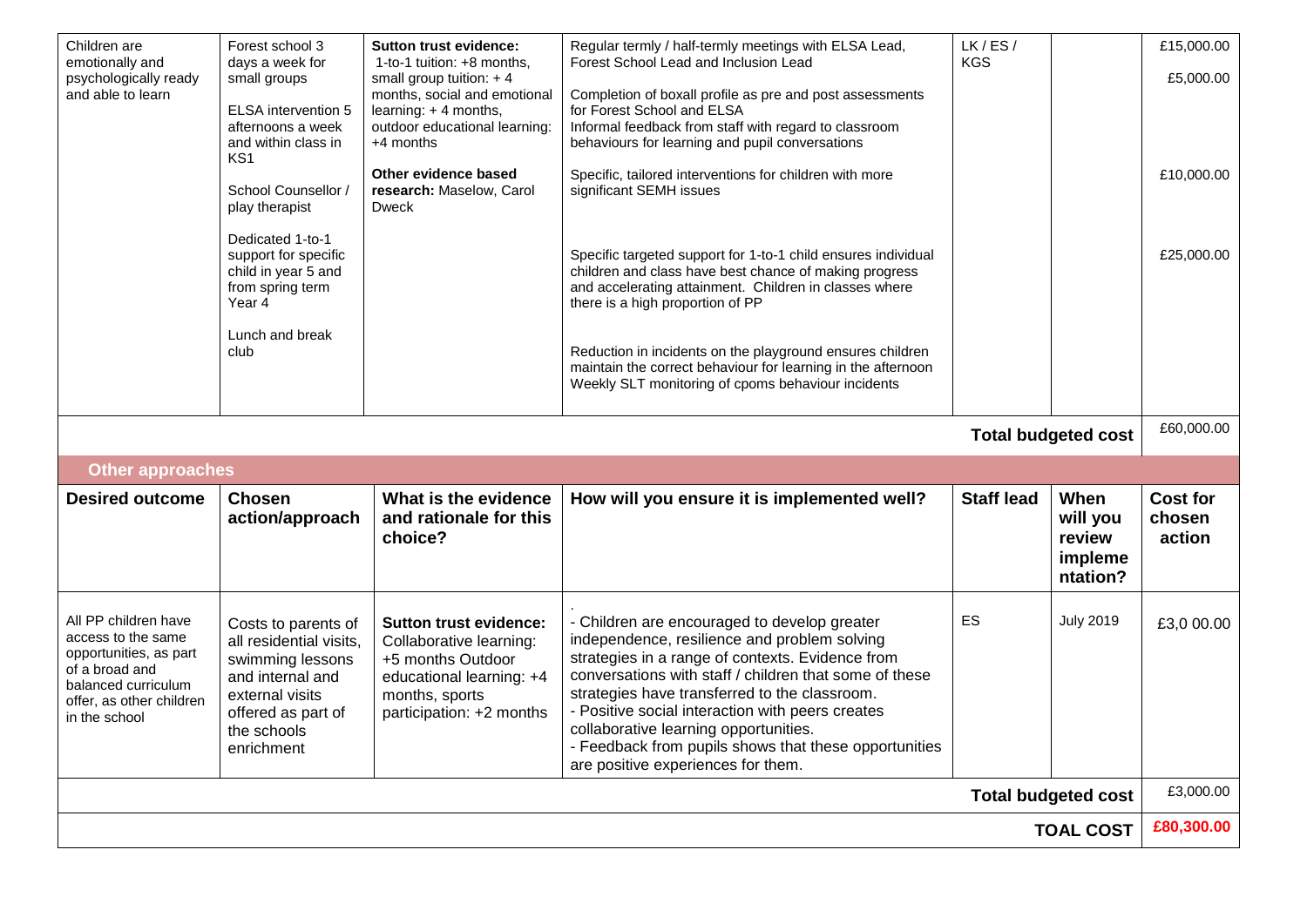| Children are<br>emotionally and<br>psychologically ready<br>and able to learn                                                                              | Forest school 3<br>days a week for<br>small groups<br><b>ELSA</b> intervention 5<br>afternoons a week<br>and within class in<br>KS <sub>1</sub><br>School Counsellor /<br>play therapist<br>Dedicated 1-to-1<br>support for specific<br>child in year 5 and<br>from spring term<br>Year 4<br>Lunch and break<br>club | <b>Sutton trust evidence:</b><br>1-to-1 tuition: +8 months.<br>small group tuition: $+4$<br>months, social and emotional<br>learning: +4 months,<br>outdoor educational learning:<br>+4 months<br>Other evidence based<br>research: Maselow, Carol<br><b>Dweck</b> | Regular termly / half-termly meetings with ELSA Lead,<br>Forest School Lead and Inclusion Lead<br>Completion of boxall profile as pre and post assessments<br>for Forest School and ELSA<br>Informal feedback from staff with regard to classroom<br>behaviours for learning and pupil conversations<br>Specific, tailored interventions for children with more<br>significant SEMH issues<br>Specific targeted support for 1-to-1 child ensures individual<br>children and class have best chance of making progress<br>and accelerating attainment. Children in classes where<br>there is a high proportion of PP<br>Reduction in incidents on the playground ensures children<br>maintain the correct behaviour for learning in the afternoon<br>Weekly SLT monitoring of cpoms behaviour incidents | LK/ES/<br><b>KGS</b> |                                                   | £15,000.00<br>£5,000.00<br>£10,000.00<br>£25,000.00 |
|------------------------------------------------------------------------------------------------------------------------------------------------------------|----------------------------------------------------------------------------------------------------------------------------------------------------------------------------------------------------------------------------------------------------------------------------------------------------------------------|--------------------------------------------------------------------------------------------------------------------------------------------------------------------------------------------------------------------------------------------------------------------|--------------------------------------------------------------------------------------------------------------------------------------------------------------------------------------------------------------------------------------------------------------------------------------------------------------------------------------------------------------------------------------------------------------------------------------------------------------------------------------------------------------------------------------------------------------------------------------------------------------------------------------------------------------------------------------------------------------------------------------------------------------------------------------------------------|----------------------|---------------------------------------------------|-----------------------------------------------------|
|                                                                                                                                                            |                                                                                                                                                                                                                                                                                                                      |                                                                                                                                                                                                                                                                    |                                                                                                                                                                                                                                                                                                                                                                                                                                                                                                                                                                                                                                                                                                                                                                                                        |                      | <b>Total budgeted cost</b>                        | £60,000.00                                          |
| <b>Other approaches</b>                                                                                                                                    |                                                                                                                                                                                                                                                                                                                      |                                                                                                                                                                                                                                                                    |                                                                                                                                                                                                                                                                                                                                                                                                                                                                                                                                                                                                                                                                                                                                                                                                        |                      |                                                   |                                                     |
| <b>Desired outcome</b>                                                                                                                                     | <b>Chosen</b><br>action/approach                                                                                                                                                                                                                                                                                     | What is the evidence<br>and rationale for this<br>choice?                                                                                                                                                                                                          | How will you ensure it is implemented well?                                                                                                                                                                                                                                                                                                                                                                                                                                                                                                                                                                                                                                                                                                                                                            | <b>Staff lead</b>    | When<br>will you<br>review<br>impleme<br>ntation? | <b>Cost for</b><br>chosen<br>action                 |
| All PP children have<br>access to the same<br>opportunities, as part<br>of a broad and<br>balanced curriculum<br>offer, as other children<br>in the school | Costs to parents of<br>all residential visits.<br>swimming lessons<br>and internal and<br>external visits<br>offered as part of<br>the schools<br>enrichment                                                                                                                                                         | <b>Sutton trust evidence:</b><br>Collaborative learning:<br>+5 months Outdoor<br>educational learning: +4<br>months, sports<br>participation: +2 months                                                                                                            | - Children are encouraged to develop greater<br>independence, resilience and problem solving<br>strategies in a range of contexts. Evidence from<br>conversations with staff / children that some of these<br>strategies have transferred to the classroom.<br>- Positive social interaction with peers creates<br>collaborative learning opportunities.<br>- Feedback from pupils shows that these opportunities<br>are positive experiences for them.                                                                                                                                                                                                                                                                                                                                                | ES                   | <b>July 2019</b>                                  | £3,0 00.00                                          |
| <b>Total budgeted cost</b>                                                                                                                                 |                                                                                                                                                                                                                                                                                                                      |                                                                                                                                                                                                                                                                    |                                                                                                                                                                                                                                                                                                                                                                                                                                                                                                                                                                                                                                                                                                                                                                                                        |                      |                                                   | £3,000.00                                           |
| <b>TOAL COST</b>                                                                                                                                           |                                                                                                                                                                                                                                                                                                                      |                                                                                                                                                                                                                                                                    |                                                                                                                                                                                                                                                                                                                                                                                                                                                                                                                                                                                                                                                                                                                                                                                                        |                      |                                                   | £80,300.00                                          |